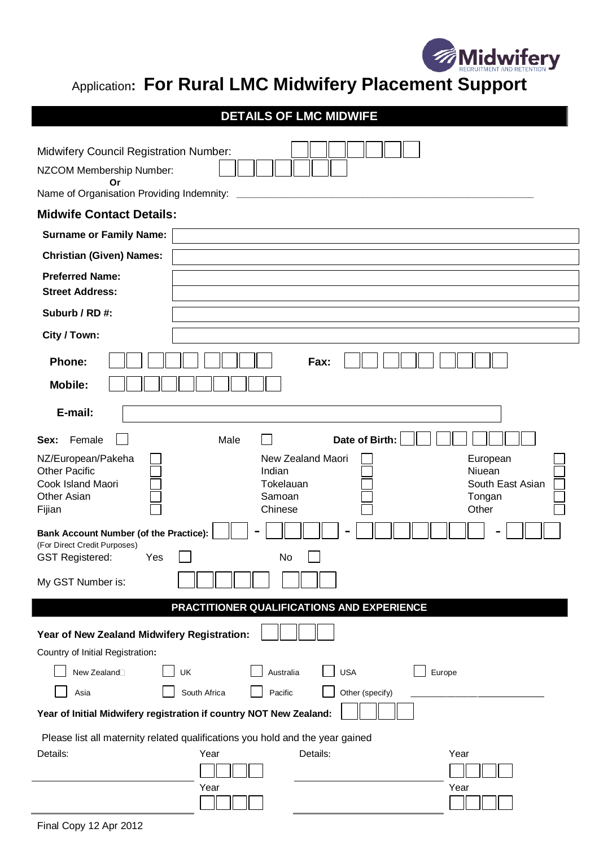

## Application**: For Rural LMC Midwifery Placement Support**

| <b>DETAILS OF LMC MIDWIFE</b>                                                                  |  |
|------------------------------------------------------------------------------------------------|--|
|                                                                                                |  |
| <b>Midwifery Council Registration Number:</b>                                                  |  |
| NZCOM Membership Number:<br>Or                                                                 |  |
| Name of Organisation Providing Indemnity:                                                      |  |
| <b>Midwife Contact Details:</b>                                                                |  |
| <b>Surname or Family Name:</b>                                                                 |  |
| <b>Christian (Given) Names:</b>                                                                |  |
| <b>Preferred Name:</b><br><b>Street Address:</b>                                               |  |
|                                                                                                |  |
| Suburb / RD #:                                                                                 |  |
| City / Town:                                                                                   |  |
| <b>Phone:</b><br>Fax:                                                                          |  |
| <b>Mobile:</b>                                                                                 |  |
| E-mail:                                                                                        |  |
| Date of Birth:<br>Female<br>Male<br>Sex:                                                       |  |
| New Zealand Maori<br>NZ/European/Pakeha<br>European                                            |  |
| <b>Other Pacific</b><br>Indian<br>Niuean<br>Cook Island Maori<br>South East Asian<br>Tokelauan |  |
| <b>Other Asian</b><br>Samoan<br>Tongan                                                         |  |
| Chinese<br>Other<br>Fijian                                                                     |  |
| <b>Bank Account Number (of the Practice):</b><br>(For Direct Credit Purposes)                  |  |
| <b>GST Registered:</b><br>No<br>Yes                                                            |  |
| My GST Number is:                                                                              |  |
| PRACTITIONER QUALIFICATIONS AND EXPERIENCE                                                     |  |
| Year of New Zealand Midwifery Registration:                                                    |  |
| Country of Initial Registration:                                                               |  |
| New Zealand <sup>[1]</sup><br><b>USA</b><br>UK<br>Australia<br>Europe                          |  |
| Other (specify)<br>South Africa<br>Pacific<br>Asia                                             |  |
| Year of Initial Midwifery registration if country NOT New Zealand:                             |  |
|                                                                                                |  |

Please list all maternity related qualifications you hold and the year gained

| Details: | Year | Details: | Year |
|----------|------|----------|------|
|          |      |          |      |
|          | Year |          | Year |
|          |      |          |      |
|          |      |          |      |